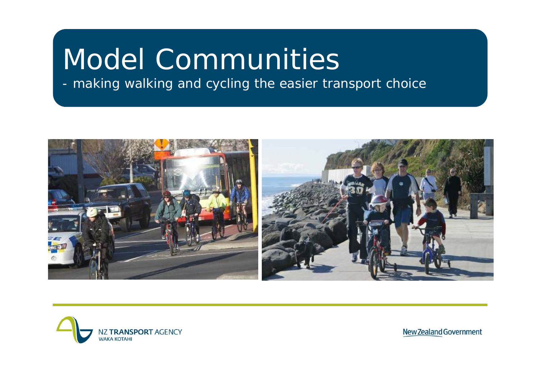# Model Communities

#### making walking and cycling the easier transport choice



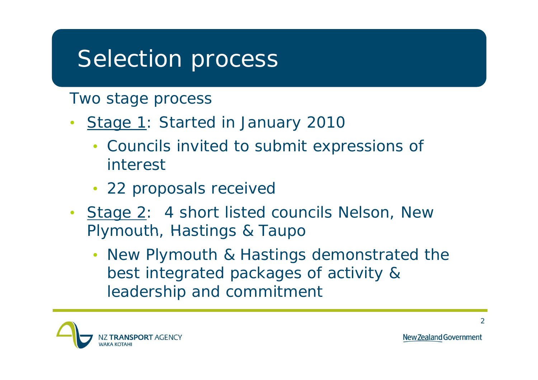#### Selection process

Two stage process

- $\bullet$ Stage 1: Started in January 2010
	- Councils invited to submit expressions of interest
	- 22 proposals received
- Stage 2: 4 short listed councils Nelson, New Plymouth, Hastings & Taupo
	- New Plymouth & Hastings demonstrated the best integrated packages of activity & leadership and commitment

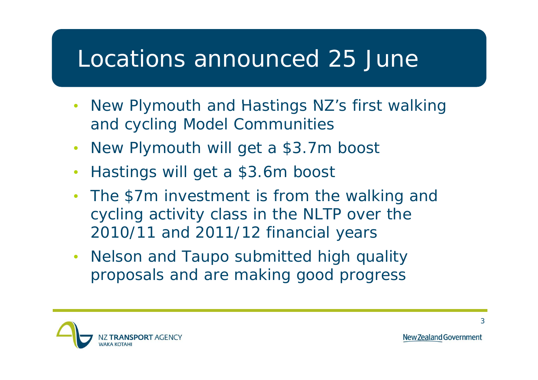#### Locations announced 25 June

- $\bullet$ New Plymouth and Hastings NZ's first walking and cycling Model Communities
- New Plymouth will get a \$3.7m boost
- $\bullet$ Hastings will get a \$3.6m boost
- $\bullet$ • The \$7m investment is from the walking and cycling activity class in the NLTP over the 2010/11 and 2011/12 financial years
- $\bullet$  Nelson and Taupo submitted high quality proposals and are making good progress

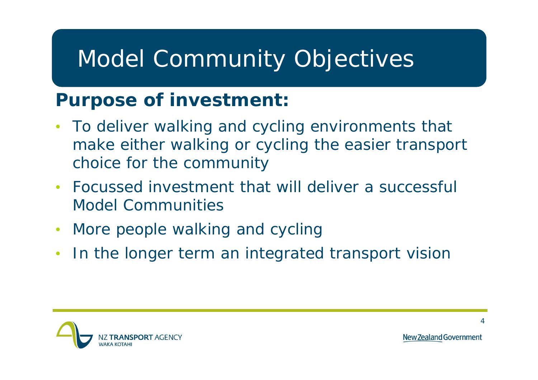## Model Community Objectives

#### **Purpose of investment:**

- $\bullet$  To deliver walking and cycling environments that make either walking or cycling the easier transport choice for the community
- $\bullet$  Focussed investment that will deliver a successful Model Communities
- $\bullet$ More people walking and cycling
- $\bullet$ In the longer term an integrated transport vision

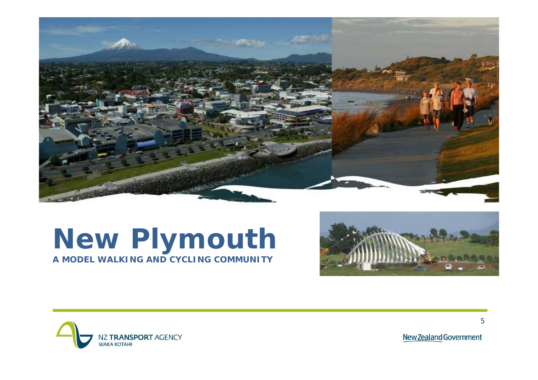

#### **New Plymouth ymo uth A MODEL WALKING AND CYCLING COMMUNITY**





New Zealand Government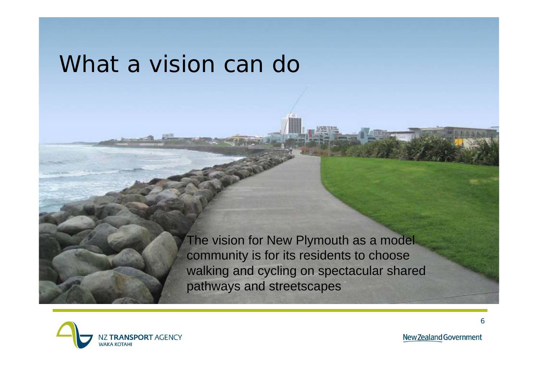#### What a vision can do

The vision for New Plymouth as a model community is for its residents to choose walking and cycling on spectacular shared pathways and streetscapes



New Zealand Government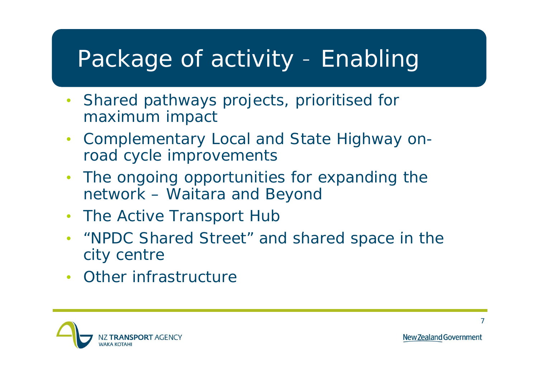#### Package of activity - Enabling

- $\bullet$  Shared pathways projects, prioritised for maximum impact
- Complementary Local and State Highway onroad cycle improvements
- $\bullet$  The ongoing opportunities for expanding the network – Waitara and Beyond
- The Active Transport Huk
- $\bullet$ • "NPDC Shared Street" and shared space in the city centre
- Other infrastructure

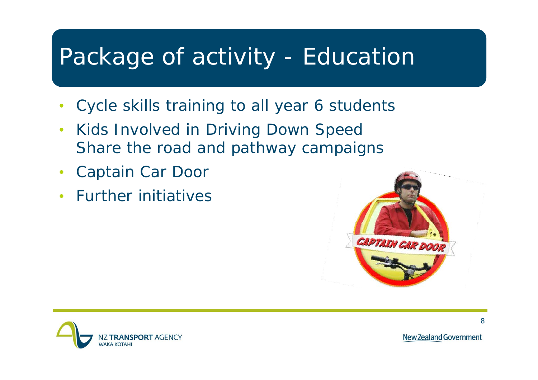#### Package of activity -- Education

- •Cycle skills training to all year 6 students
- • Kids Involved in Driving Down Speed Share the road and pathway campaigns
- $\bullet$ Captain Car Door
- Further initiatives



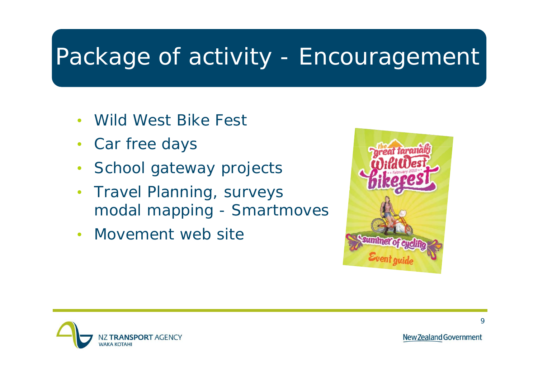#### Package of activity -- Encouragement

- •Wild West Bike Fest
- Car free days
- $\bullet$ School gateway projects
- $\bullet$ Travel Planning, surveys modal mapping - Smartmoves
- Movement web site



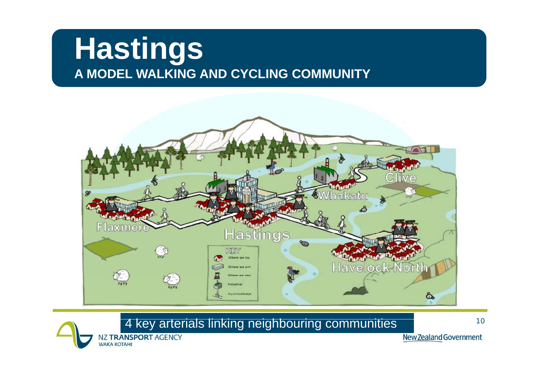### **Hastings A MODEL WALKING AND CYCLING COMMUNITY**



4 key arterials linking neighbouring communities and the fillum  $^\mathrm{1}$ 



NZ TRANSPORT AGENCY **WAKA KOTAHI**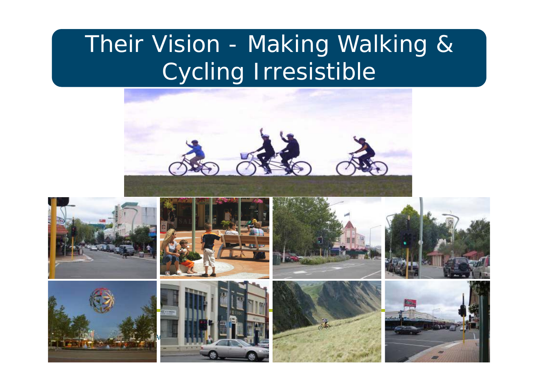## Their Vision - Making Walking & Cycling Irresistible





11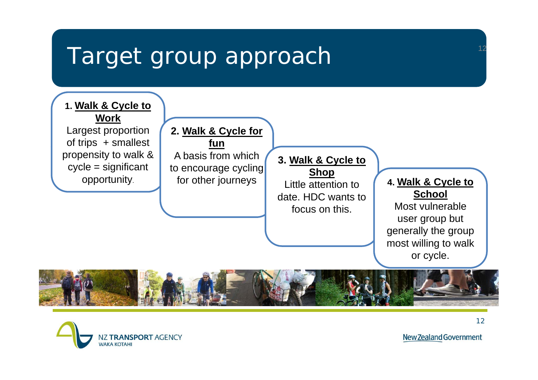#### Target group approach



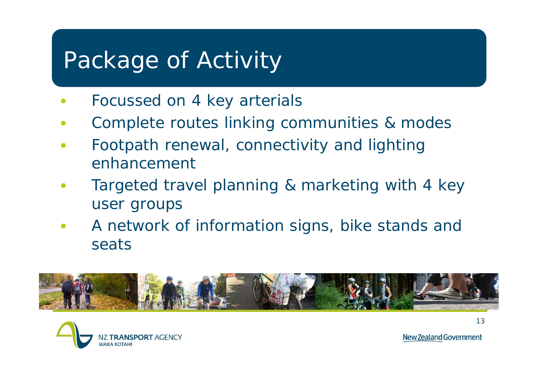## Package of Activity

- •Focussed on 4 key arterials
- •Complete routes linking communities & modes
- $\bullet$ Footpath renewal, connectivity and lighting enhancement
- • Targeted travel planning & marketing with 4 key user groups
- $\bullet$ • A network of information signs, bike stands and seats





New Zealand Government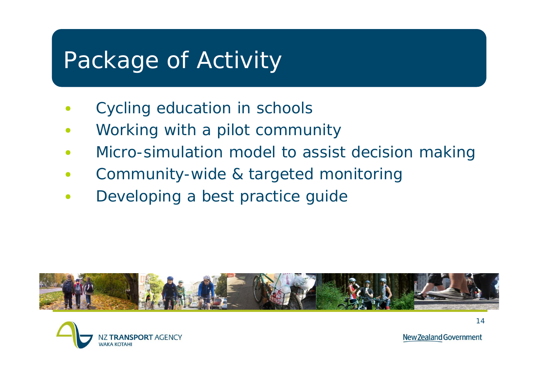### Package of Activity

- •• Cycling education in schools
- •Working with a pilot community
- •• Micro-simulation model to assist decision making
- •Community-wide & targeted monitoring
- •Developing a best practice guide





New Zealand Government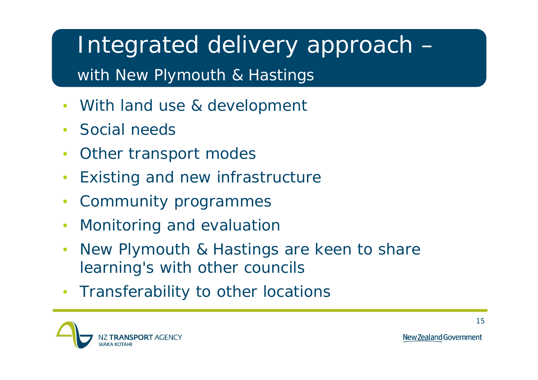Integrated delivery approach – with New Plymouth & Hastings

- $\bullet$ With land use & development
- •Social needs
- $\bullet$ Other transport modes
- $\bullet$ Existing and new infrastructure
- •Community programmes
- •• Monitoring and evaluatior
- $\bullet$  New Plymouth & Hastings are keen to share learning's with other councils
- Transferability to other locations

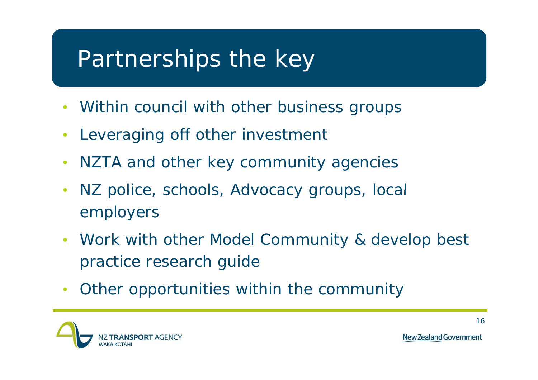## Partnerships the key

- Within council with other business groups
- $\bullet$ Leveraging off other investment
- •NZTA and other key community agencies
- NZ police, schools, Advocacy groups, local employers
- Work with other Model Community & develop best practice research guide
- $\bullet$ Other opportunities within the community

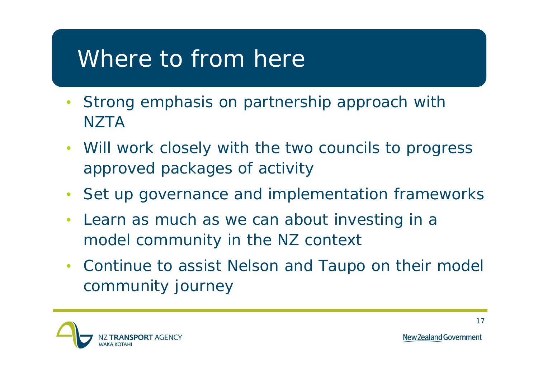#### Where to from here

- Strong emphasis on partnership approach with **NZTA**
- Will work closely with the two councils to progress approved packages of activity
- Set up governance and implementation frameworks
- $\bullet$  Learn as much as we can about investing in a model community in the NZ context
- Continue to assist Nelson and Taupo on their model community journey

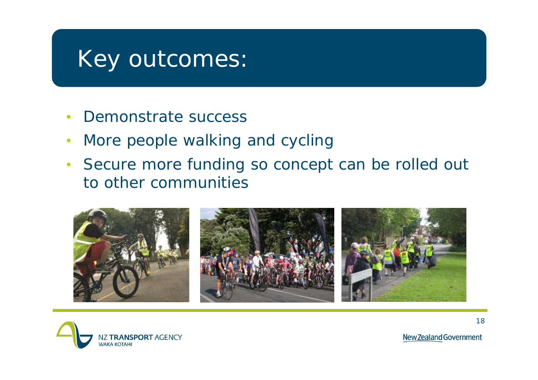#### Key outcomes:

- $\bullet$ Demonstrate success
- $\bullet$ • More people walking and cycling
- Secure more funding so concept can be rolled out to other communities